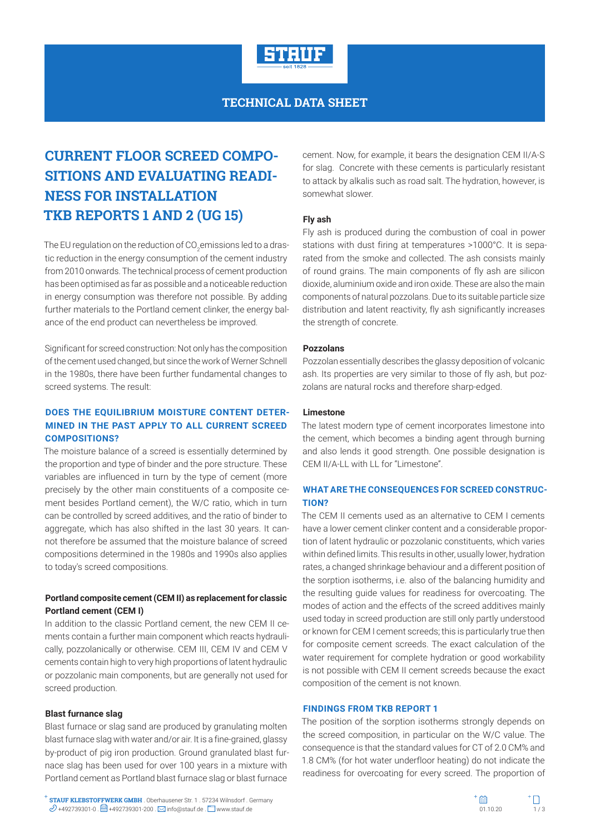

**TECHNICAL DATA SHEET**

# **CURRENT FLOOR SCREED COMPO-SITIONS AND EVALUATING READI-NESS FOR INSTALLATION TKB REPORTS 1 AND 2 (UG 15)**

The EU regulation on the reduction of CO $_2$ emissions led to a drastic reduction in the energy consumption of the cement industry from 2010 onwards. The technical process of cement production has been optimised as far as possible and a noticeable reduction in energy consumption was therefore not possible. By adding further materials to the Portland cement clinker, the energy balance of the end product can nevertheless be improved.

Significant for screed construction: Not only has the composition of the cement used changed, but since the work of Werner Schnell in the 1980s, there have been further fundamental changes to screed systems. The result:

# **DOES THE EQUILIBRIUM MOISTURE CONTENT DETER-MINED IN THE PAST APPLY TO ALL CURRENT SCREED COMPOSITIONS?**

The moisture balance of a screed is essentially determined by the proportion and type of binder and the pore structure. These variables are influenced in turn by the type of cement (more precisely by the other main constituents of a composite cement besides Portland cement), the W/C ratio, which in turn can be controlled by screed additives, and the ratio of binder to aggregate, which has also shifted in the last 30 years. It cannot therefore be assumed that the moisture balance of screed compositions determined in the 1980s and 1990s also applies to today's screed compositions.

# **Portland composite cement (CEM II) as replacement for classic Portland cement (CEM I)**

In addition to the classic Portland cement, the new CEM II cements contain a further main component which reacts hydraulically, pozzolanically or otherwise. CEM III, CEM IV and CEM V cements contain high to very high proportions of latent hydraulic or pozzolanic main components, but are generally not used for screed production.

## **Blast furnance slag**

Blast furnace or slag sand are produced by granulating molten blast furnace slag with water and/or air. It is a fine-grained, glassy by-product of pig iron production. Ground granulated blast furnace slag has been used for over 100 years in a mixture with Portland cement as Portland blast furnace slag or blast furnace

cement. Now, for example, it bears the designation CEM II/A-S for slag. Concrete with these cements is particularly resistant to attack by alkalis such as road salt. The hydration, however, is somewhat slower.

## **Fly ash**

Fly ash is produced during the combustion of coal in power stations with dust firing at temperatures >1000°C. It is separated from the smoke and collected. The ash consists mainly of round grains. The main components of fly ash are silicon dioxide, aluminium oxide and iron oxide. These are also the main components of natural pozzolans. Due to its suitable particle size distribution and latent reactivity, fly ash significantly increases the strength of concrete.

## **Pozzolans**

Pozzolan essentially describes the glassy deposition of volcanic ash. Its properties are very similar to those of fly ash, but pozzolans are natural rocks and therefore sharp-edged.

# **Limestone**

The latest modern type of cement incorporates limestone into the cement, which becomes a binding agent through burning and also lends it good strength. One possible designation is CEM II/A-LL with LL for "Limestone".

# **WHAT ARE THE CONSEQUENCES FOR SCREED CONSTRUC-TION?**

The CEM II cements used as an alternative to CEM I cements have a lower cement clinker content and a considerable proportion of latent hydraulic or pozzolanic constituents, which varies within defined limits. This results in other, usually lower, hydration rates, a changed shrinkage behaviour and a different position of the sorption isotherms, i.e. also of the balancing humidity and the resulting guide values for readiness for overcoating. The modes of action and the effects of the screed additives mainly used today in screed production are still only partly understood or known for CEM I cement screeds; this is particularly true then for composite cement screeds. The exact calculation of the water requirement for complete hydration or good workability is not possible with CEM II cement screeds because the exact composition of the cement is not known.

## **FINDINGS FROM TKB REPORT 1**

The position of the sorption isotherms strongly depends on the screed composition, in particular on the W/C value. The consequence is that the standard values for CT of 2.0 CM% and 1.8 CM% (for hot water underfloor heating) do not indicate the readiness for overcoating for every screed. The proportion of

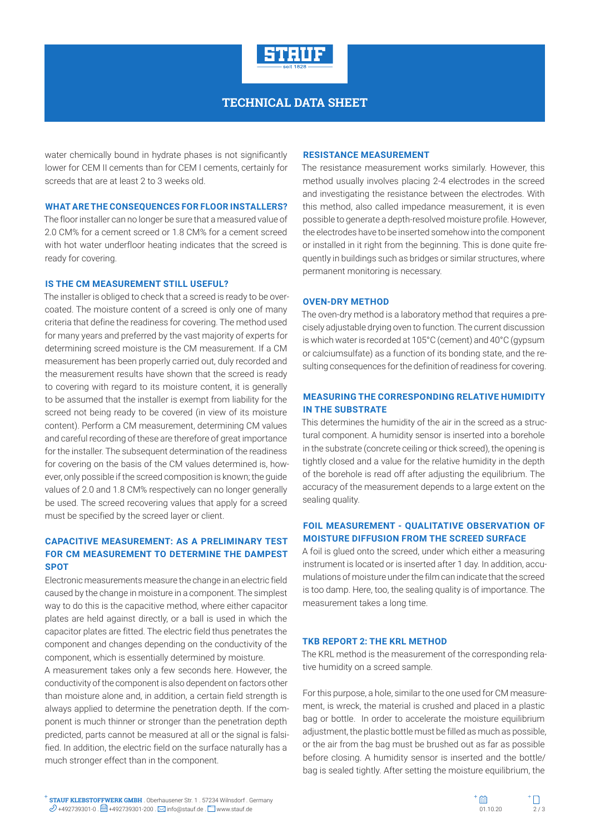

# **TECHNICAL DATA SHEET**

water chemically bound in hydrate phases is not significantly lower for CEM II cements than for CEM I cements, certainly for screeds that are at least 2 to 3 weeks old.

#### **WHAT ARE THE CONSEQUENCES FOR FLOOR INSTALLERS?**

The floor installer can no longer be sure that a measured value of 2.0 CM% for a cement screed or 1.8 CM% for a cement screed with hot water underfloor heating indicates that the screed is ready for covering.

#### **IS THE CM MEASUREMENT STILL USEFUL?**

The installer is obliged to check that a screed is ready to be overcoated. The moisture content of a screed is only one of many criteria that define the readiness for covering. The method used for many years and preferred by the vast majority of experts for determining screed moisture is the CM measurement. If a CM measurement has been properly carried out, duly recorded and the measurement results have shown that the screed is ready to covering with regard to its moisture content, it is generally to be assumed that the installer is exempt from liability for the screed not being ready to be covered (in view of its moisture content). Perform a CM measurement, determining CM values and careful recording of these are therefore of great importance for the installer. The subsequent determination of the readiness for covering on the basis of the CM values determined is, however, only possible if the screed composition is known; the guide values of 2.0 and 1.8 CM% respectively can no longer generally be used. The screed recovering values that apply for a screed must be specified by the screed layer or client.

# **CAPACITIVE MEASUREMENT: AS A PRELIMINARY TEST FOR CM MEASUREMENT TO DETERMINE THE DAMPEST SPOT**

Electronic measurements measure the change in an electric field caused by the change in moisture in a component. The simplest way to do this is the capacitive method, where either capacitor plates are held against directly, or a ball is used in which the capacitor plates are fitted. The electric field thus penetrates the component and changes depending on the conductivity of the component, which is essentially determined by moisture.

A measurement takes only a few seconds here. However, the conductivity of the component is also dependent on factors other than moisture alone and, in addition, a certain field strength is always applied to determine the penetration depth. If the component is much thinner or stronger than the penetration depth predicted, parts cannot be measured at all or the signal is falsified. In addition, the electric field on the surface naturally has a much stronger effect than in the component.

#### **RESISTANCE MEASUREMENT**

The resistance measurement works similarly. However, this method usually involves placing 2-4 electrodes in the screed and investigating the resistance between the electrodes. With this method, also called impedance measurement, it is even possible to generate a depth-resolved moisture profile. However, the electrodes have to be inserted somehow into the component or installed in it right from the beginning. This is done quite frequently in buildings such as bridges or similar structures, where permanent monitoring is necessary.

## **OVEN-DRY METHOD**

The oven-dry method is a laboratory method that requires a precisely adjustable drying oven to function. The current discussion is which water is recorded at 105°C (cement) and 40°C (gypsum or calciumsulfate) as a function of its bonding state, and the resulting consequences for the definition of readiness for covering.

## **MEASURING THE CORRESPONDING RELATIVE HUMIDITY IN THE SUBSTRATE**

This determines the humidity of the air in the screed as a structural component. A humidity sensor is inserted into a borehole in the substrate (concrete ceiling or thick screed), the opening is tightly closed and a value for the relative humidity in the depth of the borehole is read off after adjusting the equilibrium. The accuracy of the measurement depends to a large extent on the sealing quality.

## **FOIL MEASUREMENT - QUALITATIVE OBSERVATION OF MOISTURE DIFFUSION FROM THE SCREED SURFACE**

A foil is glued onto the screed, under which either a measuring instrument is located or is inserted after 1 day. In addition, accumulations of moisture under the film can indicate that the screed is too damp. Here, too, the sealing quality is of importance. The measurement takes a long time.

#### **TKB REPORT 2: THE KRL METHOD**

The KRL method is the measurement of the corresponding relative humidity on a screed sample.

For this purpose, a hole, similar to the one used for CM measurement, is wreck, the material is crushed and placed in a plastic bag or bottle. In order to accelerate the moisture equilibrium adjustment, the plastic bottle must be filled as much as possible, or the air from the bag must be brushed out as far as possible before closing. A humidity sensor is inserted and the bottle/ bag is sealed tightly. After setting the moisture equilibrium, the